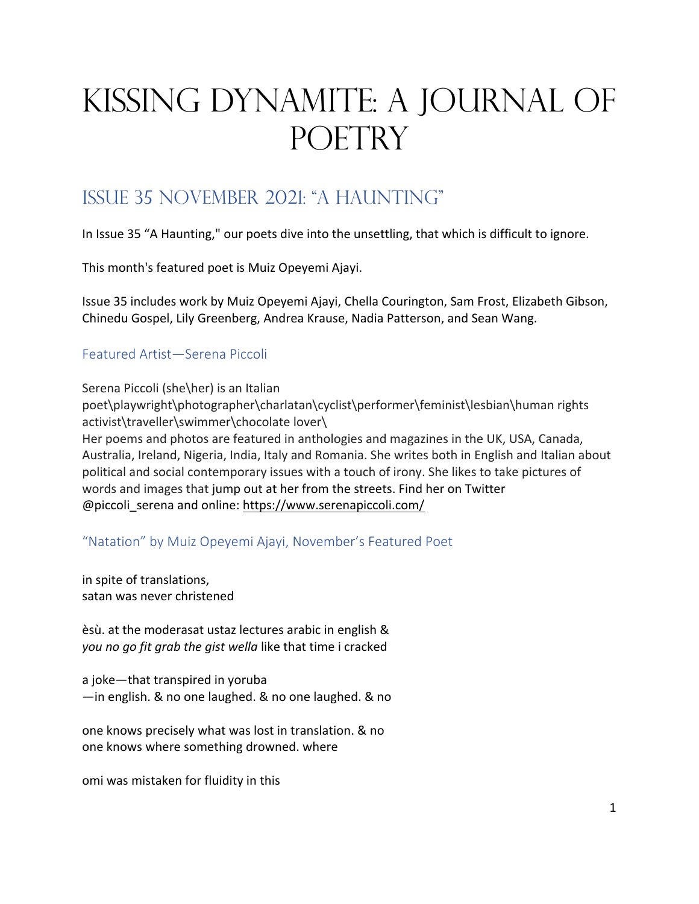# Kissing Dynamite: A Journal of POETRY

# Issue 35 November 2021: "a haunting"

In Issue 35 "A Haunting," our poets dive into the unsettling, that which is difficult to ignore.

This month's featured poet is Muiz Opeyemi Ajayi.

Issue 35 includes work by Muiz Opeyemi Ajayi, Chella Courington, Sam Frost, Elizabeth Gibson, Chinedu Gospel, Lily Greenberg, Andrea Krause, Nadia Patterson, and Sean Wang.

# Featured Artist—Serena Piccoli

Serena Piccoli (she\her) is an Italian poet\playwright\photographer\charlatan\cyclist\performer\feminist\lesbian\human rights activist\traveller\swimmer\chocolate lover\ Her poems and photos are featured in anthologies and magazines in the UK, USA, Canada, Australia, Ireland, Nigeria, India, Italy and Romania. She writes both in English and Italian about political and social contemporary issues with a touch of irony. She likes to take pictures of words and images that jump out at her from the streets. Find her on Twitter @piccoli\_serena and online: https://www.serenapiccoli.com/

"Natation" by Muiz Opeyemi Ajayi, November's Featured Poet

in spite of translations, satan was never christened

èsù. at the moderasat ustaz lectures arabic in english & *you no go fit grab the gist wella* like that time i cracked

a joke—that transpired in yoruba —in english. & no one laughed. & no one laughed. & no

one knows precisely what was lost in translation. & no one knows where something drowned. where

omi was mistaken for fluidity in this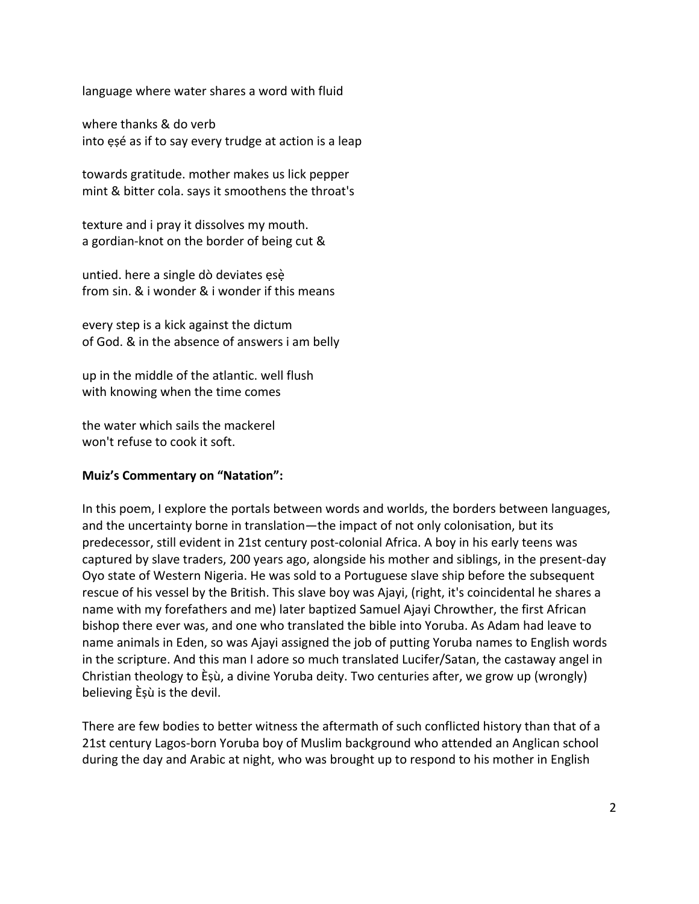language where water shares a word with fluid

where thanks & do verb into ẹṣé as if to say every trudge at action is a leap

towards gratitude. mother makes us lick pepper mint & bitter cola. says it smoothens the throat's

texture and i pray it dissolves my mouth. a gordian-knot on the border of being cut &

untied. here a single dò deviates ẹsẹ̀ from sin. & i wonder & i wonder if this means

every step is a kick against the dictum of God. & in the absence of answers i am belly

up in the middle of the atlantic. well flush with knowing when the time comes

the water which sails the mackerel won't refuse to cook it soft.

#### **Muiz's Commentary on "Natation":**

In this poem, I explore the portals between words and worlds, the borders between languages, and the uncertainty borne in translation—the impact of not only colonisation, but its predecessor, still evident in 21st century post-colonial Africa. A boy in his early teens was captured by slave traders, 200 years ago, alongside his mother and siblings, in the present-day Oyo state of Western Nigeria. He was sold to a Portuguese slave ship before the subsequent rescue of his vessel by the British. This slave boy was Ajayi, (right, it's coincidental he shares a name with my forefathers and me) later baptized Samuel Ajayi Chrowther, the first African bishop there ever was, and one who translated the bible into Yoruba. As Adam had leave to name animals in Eden, so was Ajayi assigned the job of putting Yoruba names to English words in the scripture. And this man I adore so much translated Lucifer/Satan, the castaway angel in Christian theology to Èṣù, a divine Yoruba deity. Two centuries after, we grow up (wrongly) believing Èṣù is the devil.

There are few bodies to better witness the aftermath of such conflicted history than that of a 21st century Lagos-born Yoruba boy of Muslim background who attended an Anglican school during the day and Arabic at night, who was brought up to respond to his mother in English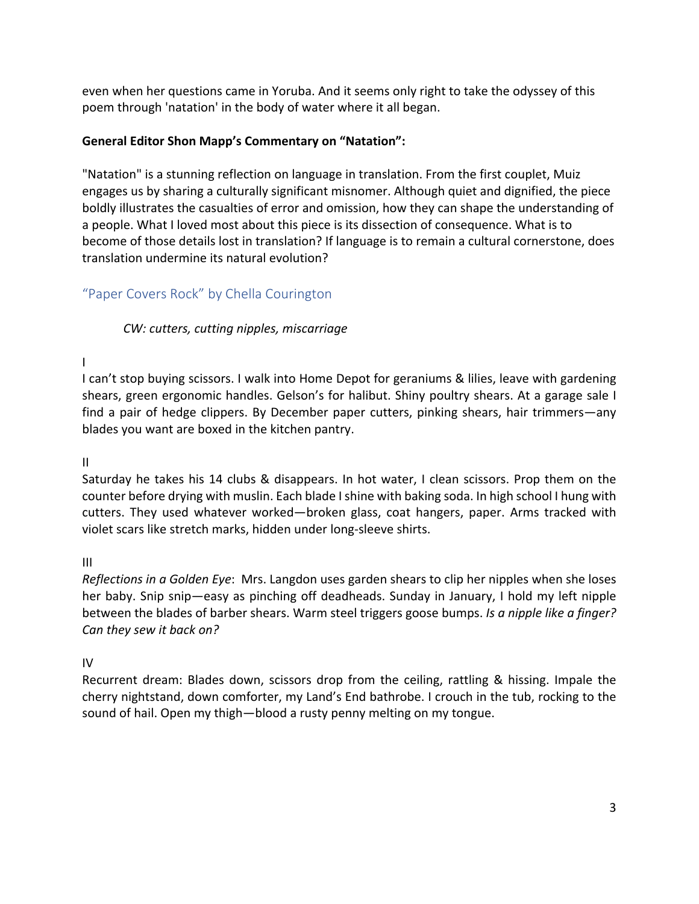even when her questions came in Yoruba. And it seems only right to take the odyssey of this poem through 'natation' in the body of water where it all began.

# **General Editor Shon Mapp's Commentary on "Natation":**

"Natation" is a stunning reflection on language in translation. From the first couplet, Muiz engages us by sharing a culturally significant misnomer. Although quiet and dignified, the piece boldly illustrates the casualties of error and omission, how they can shape the understanding of a people. What I loved most about this piece is its dissection of consequence. What is to become of those details lost in translation? If language is to remain a cultural cornerstone, does translation undermine its natural evolution?

# "Paper Covers Rock" by Chella Courington

*CW: cutters, cutting nipples, miscarriage*

I

I can't stop buying scissors. I walk into Home Depot for geraniums & lilies, leave with gardening shears, green ergonomic handles. Gelson's for halibut. Shiny poultry shears. At a garage sale I find a pair of hedge clippers. By December paper cutters, pinking shears, hair trimmers—any blades you want are boxed in the kitchen pantry.

II

Saturday he takes his 14 clubs & disappears. In hot water, I clean scissors. Prop them on the counter before drying with muslin. Each blade I shine with baking soda. In high school I hung with cutters. They used whatever worked—broken glass, coat hangers, paper. Arms tracked with violet scars like stretch marks, hidden under long-sleeve shirts.

III

*Reflections in a Golden Eye*: Mrs. Langdon uses garden shears to clip her nipples when she loses her baby. Snip snip—easy as pinching off deadheads. Sunday in January, I hold my left nipple between the blades of barber shears. Warm steel triggers goose bumps. *Is a nipple like a finger? Can they sew it back on?* 

IV

Recurrent dream: Blades down, scissors drop from the ceiling, rattling & hissing. Impale the cherry nightstand, down comforter, my Land's End bathrobe. I crouch in the tub, rocking to the sound of hail. Open my thigh—blood a rusty penny melting on my tongue.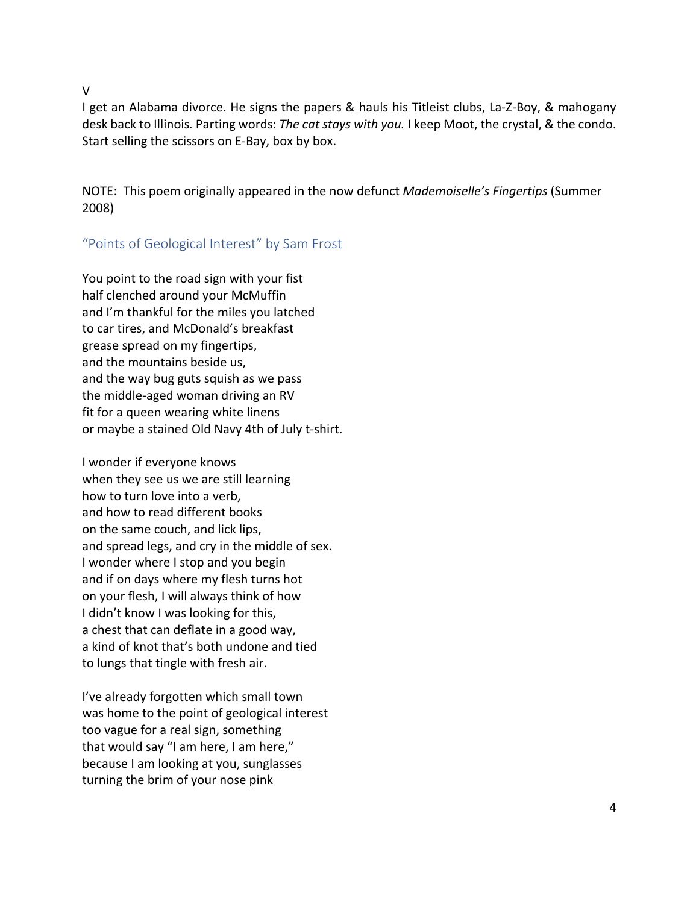V

I get an Alabama divorce. He signs the papers & hauls his Titleist clubs, La-Z-Boy, & mahogany desk back to Illinois*.* Parting words: *The cat stays with you.* I keep Moot, the crystal, & the condo. Start selling the scissors on E-Bay, box by box.

NOTE: This poem originally appeared in the now defunct *Mademoiselle's Fingertips* (Summer 2008)

# "Points of Geological Interest" by Sam Frost

You point to the road sign with your fist half clenched around your McMuffin and I'm thankful for the miles you latched to car tires, and McDonald's breakfast grease spread on my fingertips, and the mountains beside us, and the way bug guts squish as we pass the middle-aged woman driving an RV fit for a queen wearing white linens or maybe a stained Old Navy 4th of July t-shirt.

I wonder if everyone knows when they see us we are still learning how to turn love into a verb, and how to read different books on the same couch, and lick lips, and spread legs, and cry in the middle of sex. I wonder where I stop and you begin and if on days where my flesh turns hot on your flesh, I will always think of how I didn't know I was looking for this, a chest that can deflate in a good way, a kind of knot that's both undone and tied to lungs that tingle with fresh air.

I've already forgotten which small town was home to the point of geological interest too vague for a real sign, something that would say "I am here, I am here," because I am looking at you, sunglasses turning the brim of your nose pink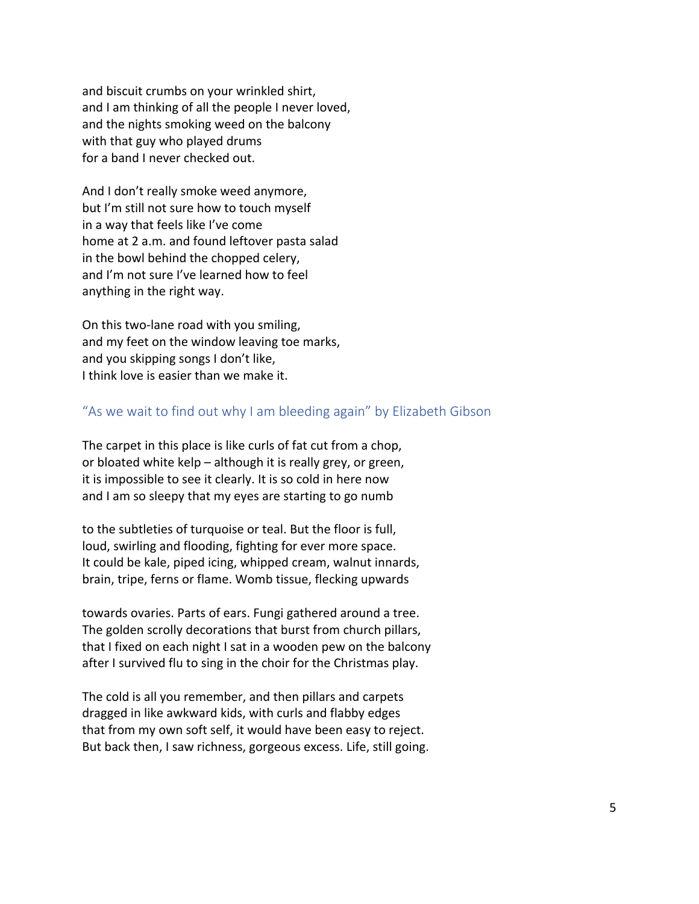and biscuit crumbs on your wrinkled shirt, and I am thinking of all the people I never loved, and the nights smoking weed on the balcony with that guy who played drums for a band I never checked out.

And I don't really smoke weed anymore, but I'm still not sure how to touch myself in a way that feels like I've come home at 2 a.m. and found leftover pasta salad in the bowl behind the chopped celery, and I'm not sure I've learned how to feel anything in the right way.

On this two-lane road with you smiling, and my feet on the window leaving toe marks, and you skipping songs I don't like, I think love is easier than we make it.

#### "As we wait to find out why I am bleeding again" by Elizabeth Gibson

The carpet in this place is like curls of fat cut from a chop, or bloated white kelp – although it is really grey, or green, it is impossible to see it clearly. It is so cold in here now and I am so sleepy that my eyes are starting to go numb

to the subtleties of turquoise or teal. But the floor is full, loud, swirling and flooding, fighting for ever more space. It could be kale, piped icing, whipped cream, walnut innards, brain, tripe, ferns or flame. Womb tissue, flecking upwards

towards ovaries. Parts of ears. Fungi gathered around a tree. The golden scrolly decorations that burst from church pillars, that I fixed on each night I sat in a wooden pew on the balcony after I survived flu to sing in the choir for the Christmas play.

The cold is all you remember, and then pillars and carpets dragged in like awkward kids, with curls and flabby edges that from my own soft self, it would have been easy to reject. But back then, I saw richness, gorgeous excess. Life, still going.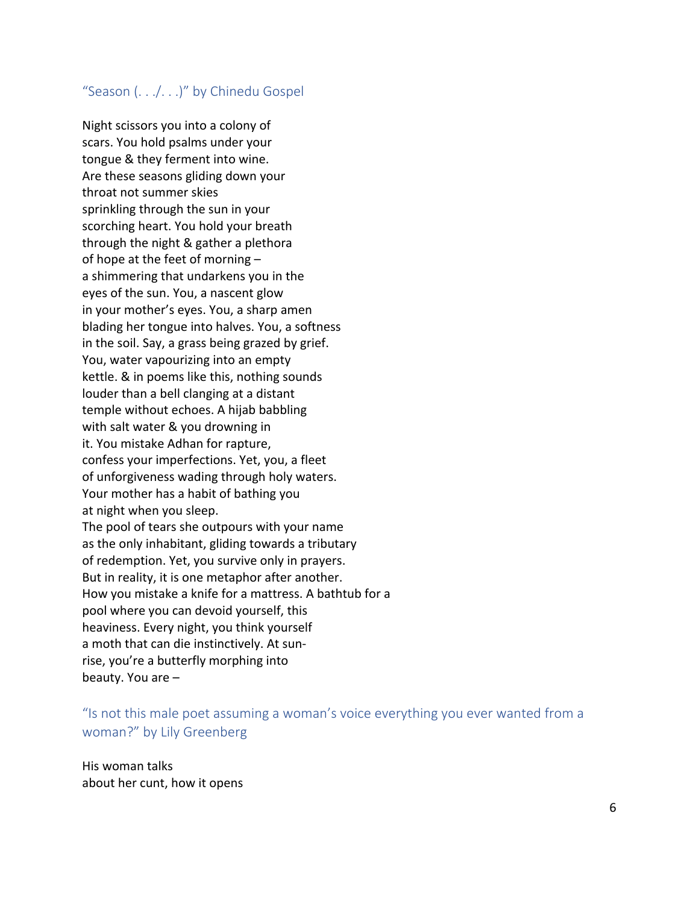# "Season (. . ./. . .)" by Chinedu Gospel

Night scissors you into a colony of scars. You hold psalms under your tongue & they ferment into wine. Are these seasons gliding down your throat not summer skies sprinkling through the sun in your scorching heart. You hold your breath through the night & gather a plethora of hope at the feet of morning – a shimmering that undarkens you in the eyes of the sun. You, a nascent glow in your mother's eyes. You, a sharp amen blading her tongue into halves. You, a softness in the soil. Say, a grass being grazed by grief. You, water vapourizing into an empty kettle. & in poems like this, nothing sounds louder than a bell clanging at a distant temple without echoes. A hijab babbling with salt water & you drowning in it. You mistake Adhan for rapture, confess your imperfections. Yet, you, a fleet of unforgiveness wading through holy waters. Your mother has a habit of bathing you at night when you sleep. The pool of tears she outpours with your name as the only inhabitant, gliding towards a tributary of redemption. Yet, you survive only in prayers. But in reality, it is one metaphor after another. How you mistake a knife for a mattress. A bathtub for a pool where you can devoid yourself, this heaviness. Every night, you think yourself a moth that can die instinctively. At sunrise, you're a butterfly morphing into beauty. You are –

"Is not this male poet assuming a woman's voice everything you ever wanted from a woman?" by Lily Greenberg

His woman talks about her cunt, how it opens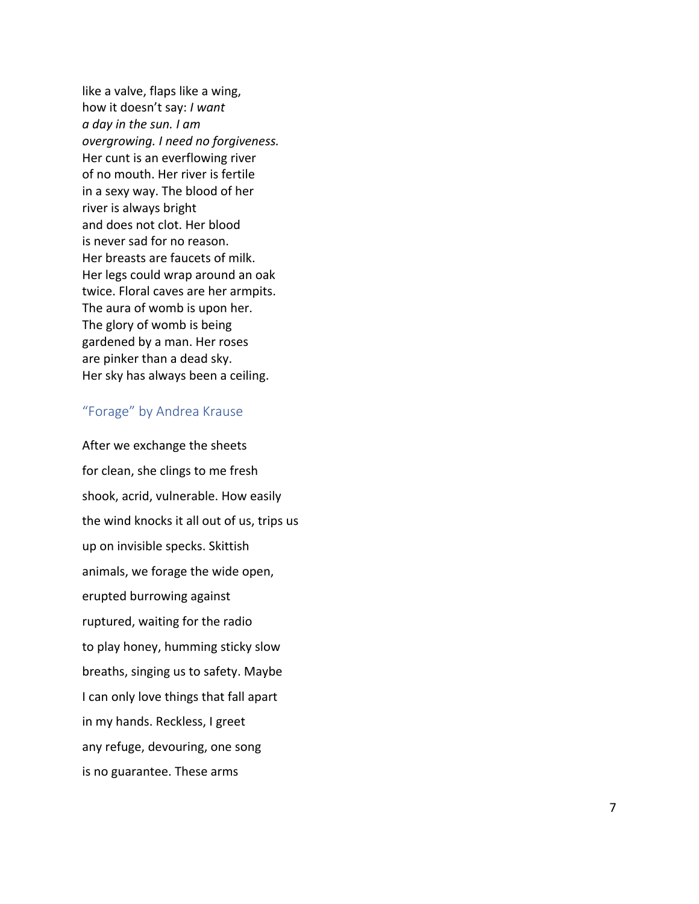like a valve, flaps like a wing, how it doesn't say: *I want a day in the sun. I am overgrowing. I need no forgiveness.* Her cunt is an everflowing river of no mouth. Her river is fertile in a sexy way. The blood of her river is always bright and does not clot. Her blood is never sad for no reason. Her breasts are faucets of milk. Her legs could wrap around an oak twice. Floral caves are her armpits. The aura of womb is upon her. The glory of womb is being gardened by a man. Her roses are pinker than a dead sky. Her sky has always been a ceiling.

#### "Forage" by Andrea Krause

After we exchange the sheets for clean, she clings to me fresh shook, acrid, vulnerable. How easily the wind knocks it all out of us, trips us up on invisible specks. Skittish animals, we forage the wide open, erupted burrowing against ruptured, waiting for the radio to play honey, humming sticky slow breaths, singing us to safety. Maybe I can only love things that fall apart in my hands. Reckless, I greet any refuge, devouring, one song is no guarantee. These arms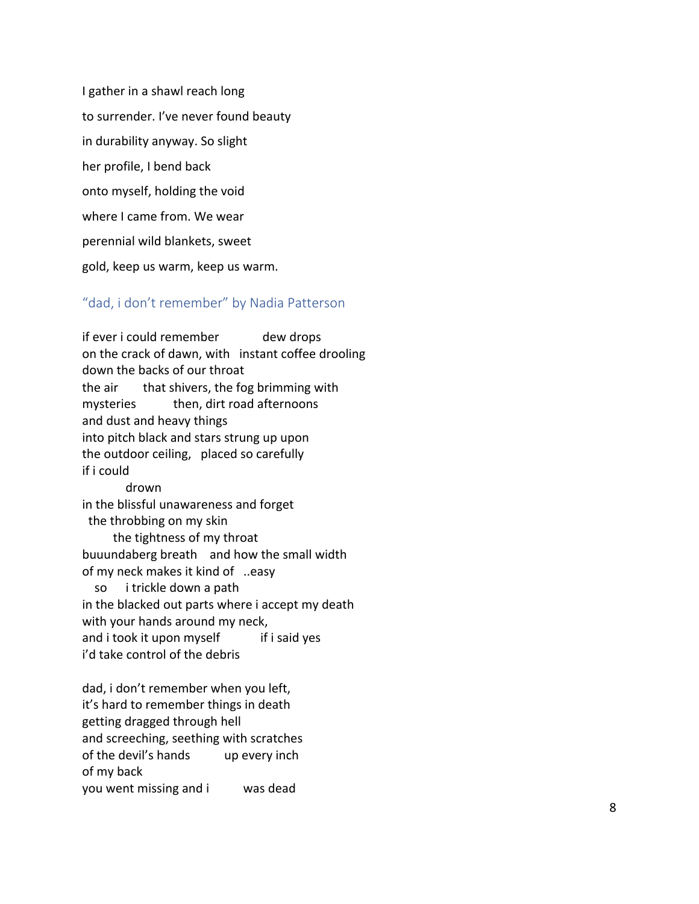I gather in a shawl reach long to surrender. I've never found beauty in durability anyway. So slight her profile, I bend back onto myself, holding the void where I came from. We wear perennial wild blankets, sweet gold, keep us warm, keep us warm.

#### "dad, i don't remember" by Nadia Patterson

if ever i could remember and dew drops on the crack of dawn, with instant coffee drooling down the backs of our throat the air that shivers, the fog brimming with mysteries then, dirt road afternoons and dust and heavy things into pitch black and stars strung up upon the outdoor ceiling, placed so carefully if i could drown in the blissful unawareness and forget the throbbing on my skin the tightness of my throat buuundaberg breath and how the small width of my neck makes it kind of ..easy so i trickle down a path in the blacked out parts where i accept my death with your hands around my neck, and i took it upon myself if if i said yes i'd take control of the debris dad, i don't remember when you left, it's hard to remember things in death getting dragged through hell and screeching, seething with scratches

of the devil's hands up every inch of my back

you went missing and was dead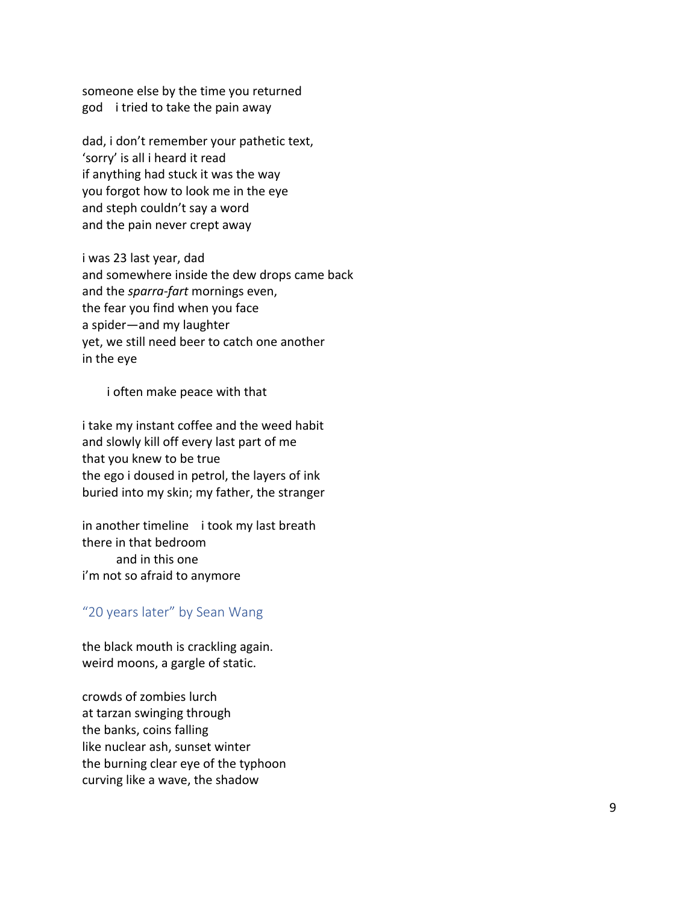someone else by the time you returned god i tried to take the pain away

dad, i don't remember your pathetic text, 'sorry' is all i heard it read if anything had stuck it was the way you forgot how to look me in the eye and steph couldn't say a word and the pain never crept away

i was 23 last year, dad and somewhere inside the dew drops came back and the *sparra -fart* mornings even, the fear you find when you face a spider—and my laughter yet, we still need beer to catch one another in the eye

i often make peace with that

i take my instant coffee and the weed habit and slowly kill off every last part of me that you knew to be true the ego i doused in petrol, the layers of ink buried into my skin; my father, the stranger

in another timeline i took my last breath there in that bedroom and in this one i'm not so afraid to anymore

#### "20 years later" by Sean Wang

the black mouth is crackling again. weird moons, a gargle of static.

crowds of zombies lurch at tarzan swinging through the banks, coins falling like nuclear ash, sunset winter the burning clear eye of the typhoon curving like a wave, the shadow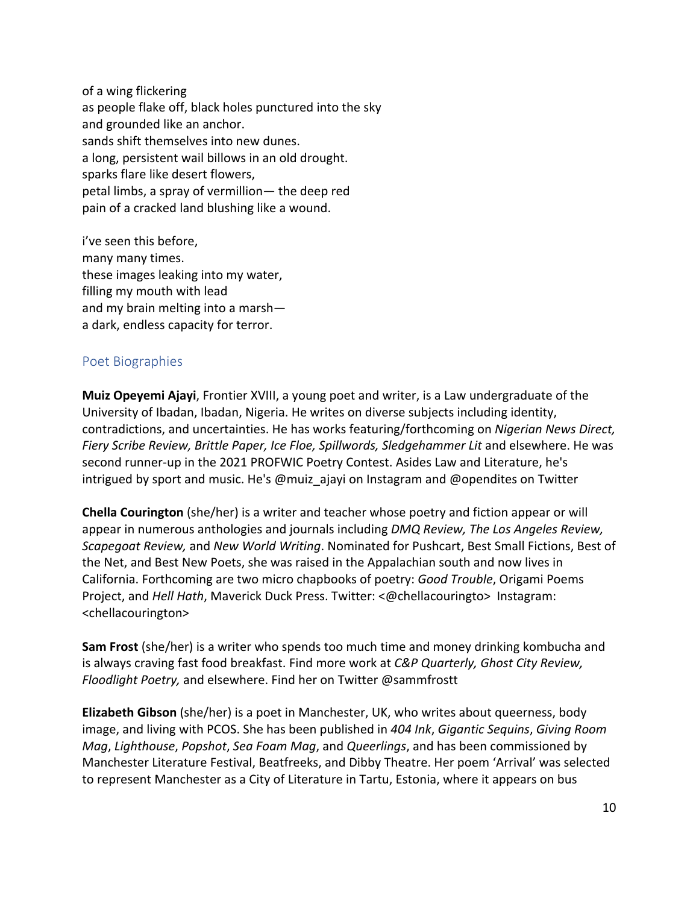of a wing flickering as people flake off, black holes punctured into the sky and grounded like an anchor. sands shift themselves into new dunes. a long, persistent wail billows in an old drought. sparks flare like desert flowers, petal limbs, a spray of vermillion— the deep red pain of a cracked land blushing like a wound.

i've seen this before, many many times. these images leaking into my water, filling my mouth with lead and my brain melting into a marsh a dark, endless capacity for terror.

# Poet Biographies

**Muiz Opeyemi Ajayi**, Frontier XVIII, a young poet and writer, is a Law undergraduate of the University of Ibadan, Ibadan, Nigeria. He writes on diverse subjects including identity, contradictions, and uncertainties. He has works featuring/forthcoming on *Nigerian News Direct, Fiery Scribe Review, Brittle Paper, Ice Floe, Spillwords, Sledgehammer Lit* and elsewhere. He was second runner-up in the 2021 PROFWIC Poetry Contest. Asides Law and Literature, he's intrigued by sport and music. He's @muiz\_ajayi on Instagram and @opendites on Twitter

**Chella Courington** (she/her) is a writer and teacher whose poetry and fiction appear or will appear in numerous anthologies and journals including *DMQ Review, The Los Angeles Review, Scapegoat Review,* and *New World Writing*. Nominated for Pushcart, Best Small Fictions, Best of the Net, and Best New Poets, she was raised in the Appalachian south and now lives in California. Forthcoming are two micro chapbooks of poetry: *Good Trouble*, Origami Poems Project, and *Hell Hath*, Maverick Duck Press. Twitter: <@chellacouringto> Instagram: <chellacourington>

**Sam Frost** (she/her) is a writer who spends too much time and money drinking kombucha and is always craving fast food breakfast. Find more work at *C&P Quarterly, Ghost City Review, Floodlight Poetry,* and elsewhere. Find her on Twitter @sammfrostt

**Elizabeth Gibson** (she/her) is a poet in Manchester, UK, who writes about queerness, body image, and living with PCOS. She has been published in *404 Ink*, *Gigantic Sequins*, *Giving Room Mag*, *Lighthouse*, *Popshot*, *Sea Foam Mag*, and *Queerlings*, and has been commissioned by Manchester Literature Festival, Beatfreeks, and Dibby Theatre. Her poem 'Arrival' was selected to represent Manchester as a City of Literature in Tartu, Estonia, where it appears on bus